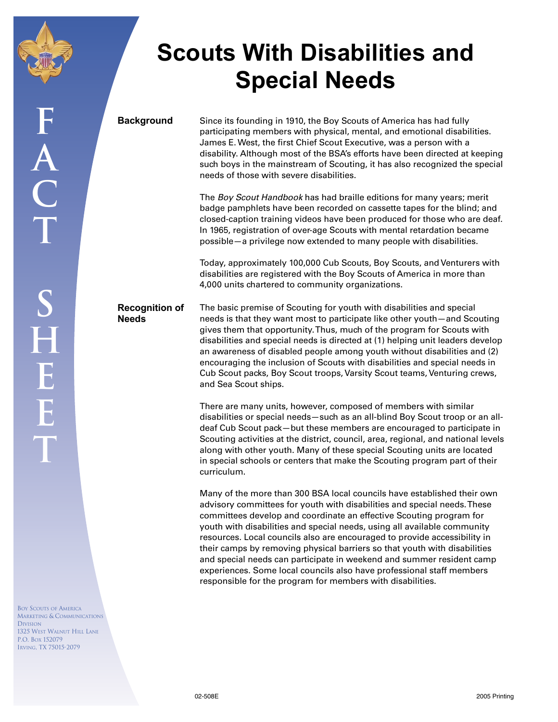

**Scouts With Disabilities and Special Needs**

**Background** Since its founding in 1910, the Boy Scouts of America has had fully participating members with physical, mental, and emotional disabilities. James E. West, the first Chief Scout Executive, was a person with a disability. Although most of the BSA's efforts have been directed at keeping such boys in the mainstream of Scouting, it has also recognized the special needs of those with severe disabilities.

> The Boy Scout Handbook has had braille editions for many years; merit badge pamphlets have been recorded on cassette tapes for the blind; and closed-caption training videos have been produced for those who are deaf. In 1965, registration of over-age Scouts with mental retardation became possible—a privilege now extended to many people with disabilities.

Today, approximately 100,000 Cub Scouts, Boy Scouts, and Venturers with disabilities are registered with the Boy Scouts of America in more than 4,000 units chartered to community organizations.

**Recognition of Needs**

The basic premise of Scouting for youth with disabilities and special needs is that they want most to participate like other youth—and Scouting gives them that opportunity. Thus, much of the program for Scouts with disabilities and special needs is directed at (1) helping unit leaders develop an awareness of disabled people among youth without disabilities and (2) encouraging the inclusion of Scouts with disabilities and special needs in Cub Scout packs, Boy Scout troops, Varsity Scout teams, Venturing crews, and Sea Scout ships.

There are many units, however, composed of members with similar disabilities or special needs—such as an all-blind Boy Scout troop or an alldeaf Cub Scout pack—but these members are encouraged to participate in Scouting activities at the district, council, area, regional, and national levels along with other youth. Many of these special Scouting units are located in special schools or centers that make the Scouting program part of their curriculum.

Many of the more than 300 BSA local councils have established their own advisory committees for youth with disabilities and special needs. These committees develop and coordinate an effective Scouting program for youth with disabilities and special needs, using all available community resources. Local councils also are encouraged to provide accessibility in their camps by removing physical barriers so that youth with disabilities and special needs can participate in weekend and summer resident camp experiences. Some local councils also have professional staff members responsible for the program for members with disabilities.

BOY SCOUTS OF AMERICA MARKETING & COMMUNICATIONS DIVISION 1325 WEST WALNUT HILL LANE P.O. BOX 152079 IRVING, TX 75015-2079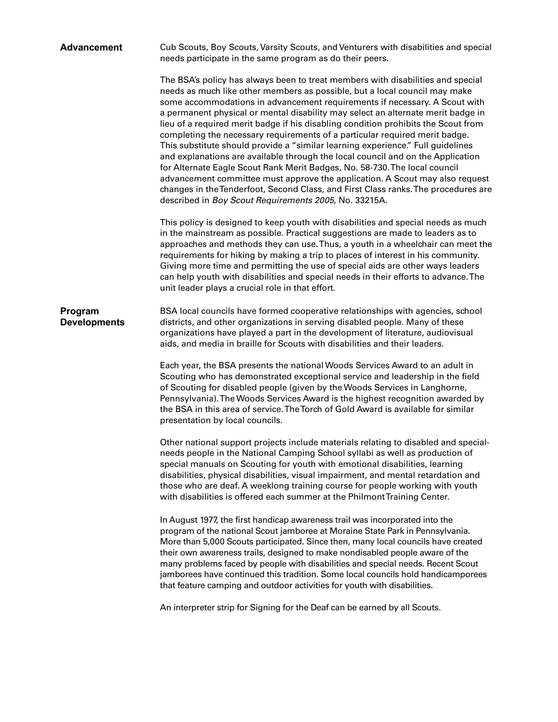| <b>Advancement</b>             | Cub Scouts, Boy Scouts, Varsity Scouts, and Venturers with disabilities and special<br>needs participate in the same program as do their peers.                                                                                                                                                                                                                                                                                                                                                                                                                                                                                                                                                                                                                                                                                                                                                                                                                                         |
|--------------------------------|-----------------------------------------------------------------------------------------------------------------------------------------------------------------------------------------------------------------------------------------------------------------------------------------------------------------------------------------------------------------------------------------------------------------------------------------------------------------------------------------------------------------------------------------------------------------------------------------------------------------------------------------------------------------------------------------------------------------------------------------------------------------------------------------------------------------------------------------------------------------------------------------------------------------------------------------------------------------------------------------|
|                                | The BSA's policy has always been to treat members with disabilities and special<br>needs as much like other members as possible, but a local council may make<br>some accommodations in advancement requirements if necessary. A Scout with<br>a permanent physical or mental disability may select an alternate merit badge in<br>lieu of a required merit badge if his disabling condition prohibits the Scout from<br>completing the necessary requirements of a particular required merit badge.<br>This substitute should provide a "similar learning experience." Full guidelines<br>and explanations are available through the local council and on the Application<br>for Alternate Eagle Scout Rank Merit Badges, No. 58-730. The local council<br>advancement committee must approve the application. A Scout may also request<br>changes in the Tenderfoot, Second Class, and First Class ranks. The procedures are<br>described in Boy Scout Requirements 2005, No. 33215A. |
|                                | This policy is designed to keep youth with disabilities and special needs as much<br>in the mainstream as possible. Practical suggestions are made to leaders as to<br>approaches and methods they can use. Thus, a youth in a wheelchair can meet the<br>requirements for hiking by making a trip to places of interest in his community.<br>Giving more time and permitting the use of special aids are other ways leaders<br>can help youth with disabilities and special needs in their efforts to advance. The<br>unit leader plays a crucial role in that effort.                                                                                                                                                                                                                                                                                                                                                                                                                 |
| Program<br><b>Developments</b> | BSA local councils have formed cooperative relationships with agencies, school<br>districts, and other organizations in serving disabled people. Many of these<br>organizations have played a part in the development of literature, audiovisual<br>aids, and media in braille for Scouts with disabilities and their leaders.                                                                                                                                                                                                                                                                                                                                                                                                                                                                                                                                                                                                                                                          |
|                                | Each year, the BSA presents the national Woods Services Award to an adult in<br>Scouting who has demonstrated exceptional service and leadership in the field<br>of Scouting for disabled people (given by the Woods Services in Langhorne,<br>Pennsylvania). The Woods Services Award is the highest recognition awarded by<br>the BSA in this area of service. The Torch of Gold Award is available for similar<br>presentation by local councils.                                                                                                                                                                                                                                                                                                                                                                                                                                                                                                                                    |
|                                | Other national support projects include materials relating to disabled and special-<br>needs people in the National Camping School syllabi as well as production of<br>special manuals on Scouting for youth with emotional disabilities, learning<br>disabilities, physical disabilities, visual impairment, and mental retardation and<br>those who are deaf. A weeklong training course for people working with youth<br>with disabilities is offered each summer at the Philmont Training Center.                                                                                                                                                                                                                                                                                                                                                                                                                                                                                   |
|                                | In August 1977, the first handicap awareness trail was incorporated into the<br>program of the national Scout jamboree at Moraine State Park in Pennsylvania.<br>More than 5,000 Scouts participated. Since then, many local councils have created<br>their own awareness trails, designed to make nondisabled people aware of the<br>many problems faced by people with disabilities and special needs. Recent Scout<br>jamborees have continued this tradition. Some local councils hold handicamporees<br>that feature camping and outdoor activities for youth with disabilities.                                                                                                                                                                                                                                                                                                                                                                                                   |
|                                | An interpreter strip for Signing for the Deaf can be earned by all Scouts.                                                                                                                                                                                                                                                                                                                                                                                                                                                                                                                                                                                                                                                                                                                                                                                                                                                                                                              |